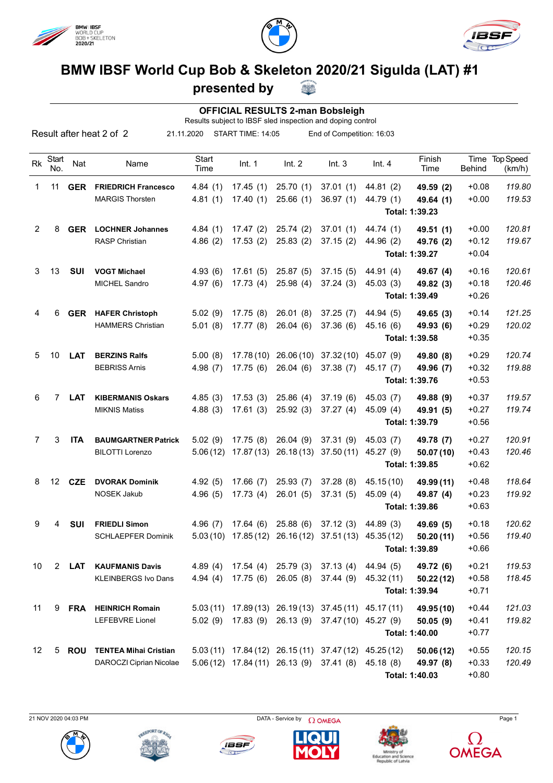





## **BMW IBSF World Cup Bob & Skeleton 2020/21 Sigulda (LAT) #1**

## **presented by**

|                 |                                                                                                                                                        |            |                             |               | presented by |           |                                                   |                                                            |                |               |                          |
|-----------------|--------------------------------------------------------------------------------------------------------------------------------------------------------|------------|-----------------------------|---------------|--------------|-----------|---------------------------------------------------|------------------------------------------------------------|----------------|---------------|--------------------------|
|                 |                                                                                                                                                        |            |                             |               |              |           | <b>OFFICIAL RESULTS 2-man Bobsleigh</b>           |                                                            |                |               |                          |
|                 | Results subject to IBSF sled inspection and doping control<br>Result after heat 2 of 2<br>21.11.2020<br>START TIME: 14:05<br>End of Competition: 16:03 |            |                             |               |              |           |                                                   |                                                            |                |               |                          |
| <b>Rk</b>       | Start<br>No.                                                                                                                                           | Nat        | Name                        | Start<br>Time | Int. 1       | Int. 2    | Int.3                                             | Int.4                                                      | Finish<br>Time | <b>Behind</b> | Time Top Speed<br>(km/h) |
| 1               | 11                                                                                                                                                     | <b>GER</b> | <b>FRIEDRICH Francesco</b>  | 4.84(1)       | 17.45(1)     | 25.70(1)  | 37.01(1)                                          | 44.81(2)                                                   | 49.59 (2)      | $+0.08$       | 119.80                   |
|                 |                                                                                                                                                        |            | <b>MARGIS Thorsten</b>      | 4.81(1)       | 17.40(1)     | 25.66(1)  | 36.97(1)                                          | 44.79 (1)                                                  | 49.64 (1)      | $+0.00$       | 119.53                   |
|                 |                                                                                                                                                        |            |                             |               |              |           |                                                   |                                                            | Total: 1:39.23 |               |                          |
| 2               | 8                                                                                                                                                      | GER        | <b>LOCHNER Johannes</b>     | 4.84(1)       | 17.47(2)     | 25.74(2)  | 37.01(1)                                          | 44.74 (1)                                                  | 49.51 (1)      | $+0.00$       | 120.81                   |
|                 |                                                                                                                                                        |            | RASP Christian              | 4.86(2)       | 17.53(2)     | 25.83(2)  | 37.15(2)                                          | 44.96 (2)                                                  | 49.76 (2)      | $+0.12$       | 119.67                   |
|                 |                                                                                                                                                        |            |                             |               |              |           |                                                   |                                                            | Total: 1:39.27 | $+0.04$       |                          |
| 3               | 13                                                                                                                                                     | <b>SUI</b> | <b>VOGT Michael</b>         | 4.93(6)       | 17.61(5)     | 25.87(5)  | 37.15(5)                                          | 44.91 (4)                                                  | 49.67 (4)      | $+0.16$       | 120.61                   |
|                 |                                                                                                                                                        |            | <b>MICHEL Sandro</b>        | 4.97(6)       | 17.73(4)     | 25.98(4)  | 37.24(3)                                          | 45.03(3)                                                   | 49.82 (3)      | $+0.18$       | 120.46                   |
|                 |                                                                                                                                                        |            |                             |               |              |           |                                                   |                                                            | Total: 1:39.49 | $+0.26$       |                          |
| 4               | 6                                                                                                                                                      | <b>GER</b> | <b>HAFER Christoph</b>      | 5.02(9)       | 17.75(8)     | 26.01(8)  | 37.25(7)                                          | 44.94 (5)                                                  | 49.65(3)       | $+0.14$       | 121.25                   |
|                 |                                                                                                                                                        |            | <b>HAMMERS Christian</b>    | 5.01(8)       | 17.77(8)     | 26.04(6)  | 37.36(6)                                          | 45.16 (6)                                                  | 49.93 (6)      | $+0.29$       | 120.02                   |
|                 |                                                                                                                                                        |            |                             |               |              |           |                                                   |                                                            | Total: 1:39.58 | $+0.35$       |                          |
| 5               | 10                                                                                                                                                     | <b>LAT</b> | <b>BERZINS Ralfs</b>        | 5.00(8)       |              |           | 17.78 (10) 26.06 (10) 37.32 (10)                  | 45.07 (9)                                                  | 49.80 (8)      | $+0.29$       | 120.74                   |
|                 |                                                                                                                                                        |            | <b>BEBRISS Arnis</b>        | 4.98(7)       | 17.75(6)     | 26.04(6)  | 37.38(7)                                          | 45.17 (7)                                                  | 49.96 (7)      | $+0.32$       | 119.88                   |
|                 |                                                                                                                                                        |            |                             |               |              |           |                                                   |                                                            | Total: 1:39.76 | $+0.53$       |                          |
| 6               | 7                                                                                                                                                      | <b>LAT</b> | <b>KIBERMANIS Oskars</b>    | 4.85(3)       | 17.53(3)     | 25.86(4)  | 37.19(6)                                          | 45.03 (7)                                                  | 49.88 (9)      | $+0.37$       | 119.57                   |
|                 |                                                                                                                                                        |            | <b>MIKNIS Matiss</b>        | 4.88(3)       | 17.61(3)     | 25.92(3)  | 37.27(4)                                          | 45.09 (4)                                                  | 49.91 (5)      | $+0.27$       | 119.74                   |
|                 |                                                                                                                                                        |            |                             |               |              |           |                                                   |                                                            | Total: 1:39.79 | $+0.56$       |                          |
| 7               | 3                                                                                                                                                      | <b>ITA</b> | <b>BAUMGARTNER Patrick</b>  | 5.02(9)       | 17.75(8)     | 26.04 (9) | 37.31(9)                                          | 45.03 (7)                                                  | 49.78 (7)      | $+0.27$       | 120.91                   |
|                 |                                                                                                                                                        |            | <b>BILOTTI Lorenzo</b>      | 5.06(12)      |              |           | 17.87 (13) 26.18 (13) 37.50 (11)                  | 45.27 (9)                                                  | 50.07 (10)     | $+0.43$       | 120.46                   |
|                 |                                                                                                                                                        |            |                             |               |              |           |                                                   |                                                            | Total: 1:39.85 | $+0.62$       |                          |
| 8               | 12                                                                                                                                                     | <b>CZE</b> | <b>DVORAK Dominik</b>       | 4.92(5)       | 17.66(7)     | 25.93(7)  | 37.28(8)                                          | 45.15(10)                                                  | 49.99 (11)     | $+0.48$       | 118.64                   |
|                 |                                                                                                                                                        |            | NOSEK Jakub                 |               |              |           | 4.96 (5) 17.73 (4) 26.01 (5) 37.31 (5) 45.09 (4)  |                                                            | 49.87 (4)      | $+0.23$       | 119.92                   |
|                 |                                                                                                                                                        |            |                             |               |              |           |                                                   |                                                            | Total: 1:39.86 | $+0.63$       |                          |
| 9               | 4                                                                                                                                                      | SUI        | <b>FRIEDLI Simon</b>        |               |              |           |                                                   | 4.96 (7) 17.64 (6) 25.88 (6) 37.12 (3) 44.89 (3)           | 49.69 (5)      | $+0.18$       | 120.62                   |
|                 |                                                                                                                                                        |            | <b>SCHLAEPFER Dominik</b>   |               |              |           |                                                   | 5.03 (10) 17.85 (12) 26.16 (12) 37.51 (13) 45.35 (12)      | 50.20(11)      | $+0.56$       | 119.40                   |
|                 |                                                                                                                                                        |            |                             |               |              |           |                                                   |                                                            | Total: 1:39.89 | $+0.66$       |                          |
| 10              |                                                                                                                                                        | 2 LAT      | <b>KAUFMANIS Davis</b>      |               |              |           | 4.89 (4) 17.54 (4) 25.79 (3) 37.13 (4) 44.94 (5)  |                                                            | 49.72 (6)      | $+0.21$       | 119.53                   |
|                 |                                                                                                                                                        |            | <b>KLEINBERGS Ivo Dans</b>  | 4.94(4)       |              |           |                                                   | 17.75 (6) 26.05 (8) 37.44 (9) 45.32 (11)                   | 50.22(12)      | $+0.58$       | 118.45                   |
|                 |                                                                                                                                                        |            |                             |               |              |           |                                                   |                                                            | Total: 1:39.94 | $+0.71$       |                          |
| 11              |                                                                                                                                                        |            | 9 FRA HEINRICH Romain       |               |              |           |                                                   | $5.03(11)$ $17.89(13)$ $26.19(13)$ $37.45(11)$ $45.17(11)$ | 49.95 (10)     | $+0.44$       | 121.03                   |
|                 |                                                                                                                                                        |            | LEFEBVRE Lionel             |               |              |           | 5.02 (9) 17.83 (9) 26.13 (9) 37.47 (10) 45.27 (9) |                                                            | 50.05(9)       | $+0.41$       | 119.82                   |
|                 |                                                                                                                                                        |            |                             |               |              |           |                                                   |                                                            | Total: 1:40.00 | $+0.77$       |                          |
| 12 <sup>2</sup> |                                                                                                                                                        |            | 5 ROU TENTEA Mihai Cristian |               |              |           |                                                   | 5.03 (11) 17.84 (12) 26.15 (11) 37.47 (12) 45.25 (12)      | 50.06(12)      | $+0.55$       | 120.15                   |

DAROCZI Ciprian Nicolae 5.06 (12) 17.84 (11) 26.13 (9) 37.41 (8) 45.18 (8) **49.97 (8)** +0.33 *120.49* **Total: 1:40.03** +0.80